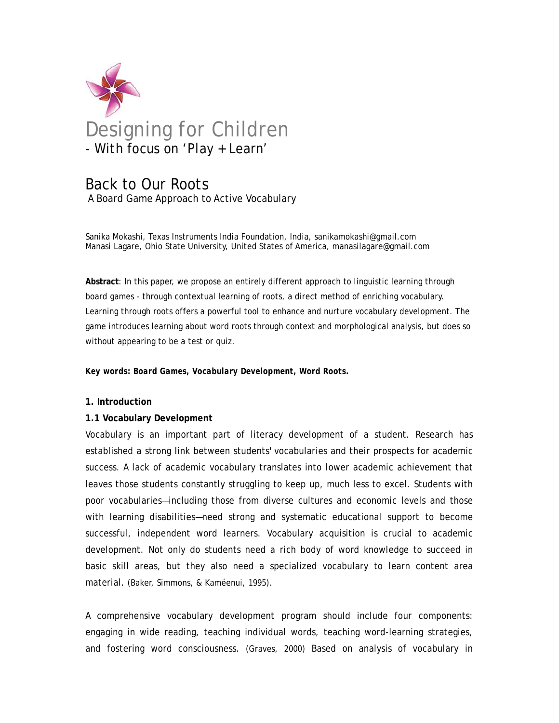

# Back to Our Roots A Board Game Approach to Active Vocabulary

Sanika Mokashi, Texas Instruments India Foundation, India, sanikamokashi@gmail.com Manasi Lagare, Ohio State University, United States of America, manasilagare@gmail.com

**Abstract**: In this paper, we propose an entirely different approach to linguistic learning through board games - through contextual learning of roots, a direct method of enriching vocabulary. Learning through roots offers a powerful tool to enhance and nurture vocabulary development. The game introduces learning about word roots through context and morphological analysis, but does so without appearing to be a test or quiz.

*Key words: Board Games, Vocabulary Development, Word Roots.* 

### **1. Introduction**

### **1.1 Vocabulary Development**

Vocabulary is an important part of literacy development of a student. Research has established a strong link between students' vocabularies and their prospects for academic success. A lack of academic vocabulary translates into lower academic achievement that leaves those students constantly struggling to keep up, much less to excel. Students with poor vocabularies—including those from diverse cultures and economic levels and those with learning disabilities—need strong and systematic educational support to become successful, independent word learners. Vocabulary acquisition is crucial to academic development. Not only do students need a rich body of word knowledge to succeed in basic skill areas, but they also need a specialized vocabulary to learn content area material. (Baker, Simmons, & Kaméenui, 1995).

A comprehensive vocabulary development program should include four components: engaging in wide reading, teaching individual words, teaching word-learning strategies, and fostering word consciousness. (Graves, 2000) Based on analysis of vocabulary in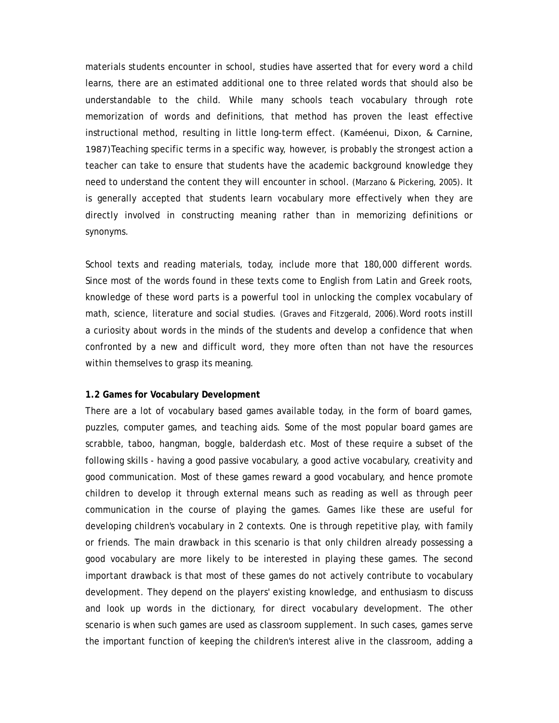materials students encounter in school, studies have asserted that for every word a child learns, there are an estimated additional one to three related words that should also be understandable to the child. While many schools teach vocabulary through rote memorization of words and definitions, that method has proven the least effective instructional method, resulting in little long-term effect. (Kaméenui, Dixon, & Carnine, 1987)Teaching specific terms in a specific way, however, is probably the strongest action a teacher can take to ensure that students have the academic background knowledge they need to understand the content they will encounter in school. (Marzano & Pickering, 2005). It is generally accepted that students learn vocabulary more effectively when they are directly involved in constructing meaning rather than in memorizing definitions or synonyms.

School texts and reading materials, today, include more that 180,000 different words. Since most of the words found in these texts come to English from Latin and Greek roots, knowledge of these word parts is a powerful tool in unlocking the complex vocabulary of math, science, literature and social studies. (Graves and Fitzgerald, 2006).Word roots instill a curiosity about words in the minds of the students and develop a confidence that when confronted by a new and difficult word, they more often than not have the resources within themselves to grasp its meaning.

#### **1.2 Games for Vocabulary Development**

There are a lot of vocabulary based games available today, in the form of board games, puzzles, computer games, and teaching aids. Some of the most popular board games are scrabble, taboo, hangman, boggle, balderdash etc. Most of these require a subset of the following skills - having a good passive vocabulary, a good active vocabulary, creativity and good communication. Most of these games reward a good vocabulary, and hence promote children to develop it through external means such as reading as well as through peer communication in the course of playing the games. Games like these are useful for developing children's vocabulary in 2 contexts. One is through repetitive play, with family or friends. The main drawback in this scenario is that only children already possessing a good vocabulary are more likely to be interested in playing these games. The second important drawback is that most of these games do not actively contribute to vocabulary development. They depend on the players' existing knowledge, and enthusiasm to discuss and look up words in the dictionary, for direct vocabulary development. The other scenario is when such games are used as classroom supplement. In such cases, games serve the important function of keeping the children's interest alive in the classroom, adding a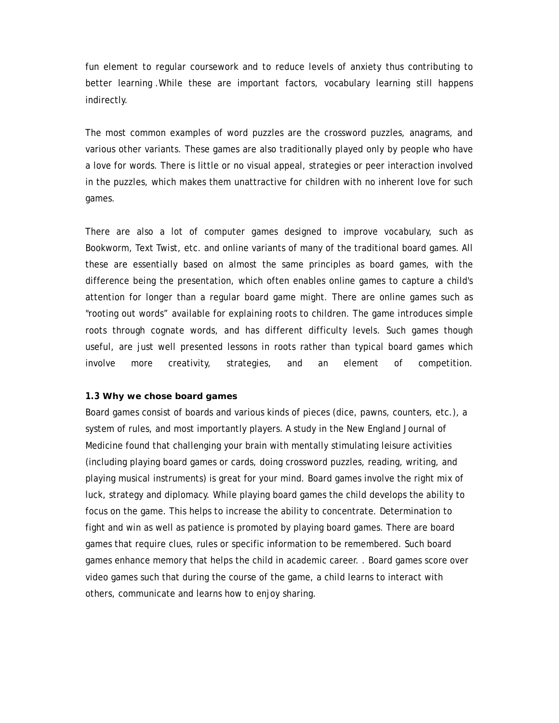fun element to regular coursework and to reduce levels of anxiety thus contributing to better learning .While these are important factors, vocabulary learning still happens indirectly.

The most common examples of word puzzles are the crossword puzzles, anagrams, and various other variants. These games are also traditionally played only by people who have a love for words. There is little or no visual appeal, strategies or peer interaction involved in the puzzles, which makes them unattractive for children with no inherent love for such games.

There are also a lot of computer games designed to improve vocabulary, such as Bookworm, Text Twist, etc. and online variants of many of the traditional board games. All these are essentially based on almost the same principles as board games, with the difference being the presentation, which often enables online games to capture a child's attention for longer than a regular board game might. There are online games such as "rooting out words" available for explaining roots to children. The game introduces simple roots through cognate words, and has different difficulty levels. Such games though useful, are just well presented lessons in roots rather than typical board games which involve more creativity, strategies, and an element of competition.

#### **1.3 Why we chose board games**

Board games consist of boards and various kinds of pieces (dice, pawns, counters, etc.), a system of rules, and most importantly players. A study in the New England Journal of Medicine found that challenging your brain with mentally stimulating leisure activities (including playing board games or cards, doing crossword puzzles, reading, writing, and playing musical instruments) is great for your mind. Board games involve the right mix of luck, strategy and diplomacy. While playing board games the child develops the ability to focus on the game. This helps to increase the ability to concentrate. Determination to fight and win as well as patience is promoted by playing board games. There are board games that require clues, rules or specific information to be remembered. Such board games enhance memory that helps the child in academic career. . Board games score over video games such that during the course of the game, a child learns to interact with others, communicate and learns how to enjoy sharing.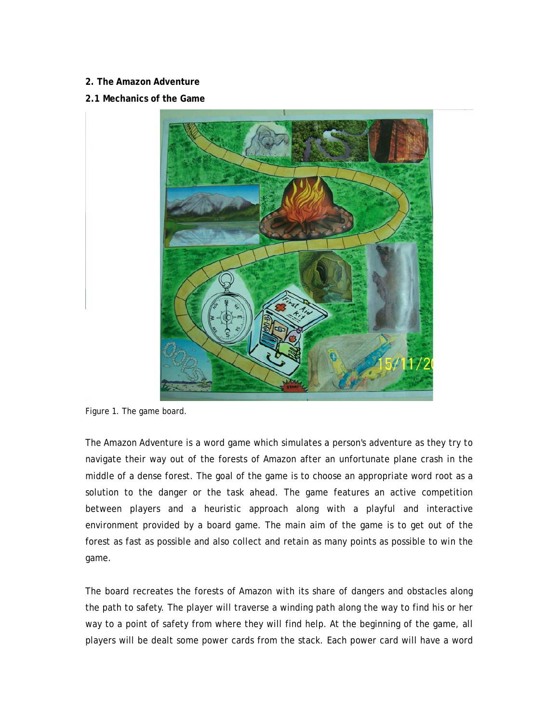## **2. The Amazon Adventure**

## **2.1 Mechanics of the Game**



Figure 1. The game board.

The Amazon Adventure is a word game which simulates a person's adventure as they try to navigate their way out of the forests of Amazon after an unfortunate plane crash in the middle of a dense forest. The goal of the game is to choose an appropriate word root as a solution to the danger or the task ahead. The game features an active competition between players and a heuristic approach along with a playful and interactive environment provided by a board game. The main aim of the game is to get out of the forest as fast as possible and also collect and retain as many points as possible to win the game.

The board recreates the forests of Amazon with its share of dangers and obstacles along the path to safety. The player will traverse a winding path along the way to find his or her way to a point of safety from where they will find help. At the beginning of the game, all players will be dealt some power cards from the stack. Each power card will have a word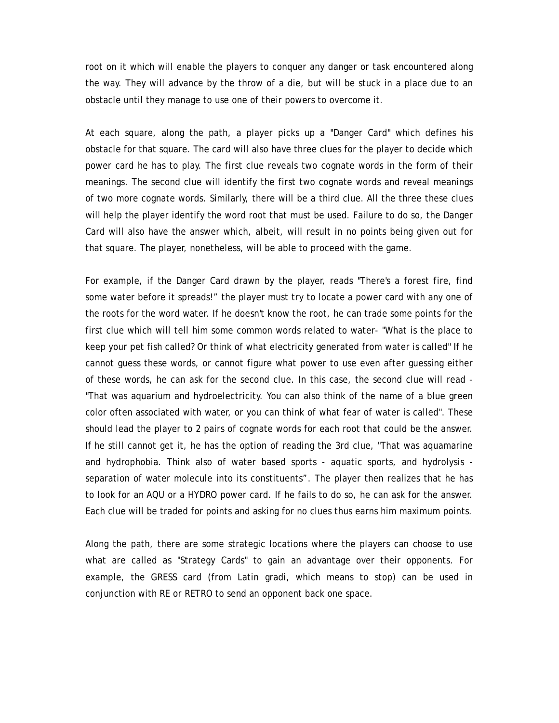root on it which will enable the players to conquer any danger or task encountered along the way. They will advance by the throw of a die, but will be stuck in a place due to an obstacle until they manage to use one of their powers to overcome it.

At each square, along the path, a player picks up a "Danger Card" which defines his obstacle for that square. The card will also have three clues for the player to decide which power card he has to play. The first clue reveals two cognate words in the form of their meanings. The second clue will identify the first two cognate words and reveal meanings of two more cognate words. Similarly, there will be a third clue. All the three these clues will help the player identify the word root that must be used. Failure to do so, the Danger Card will also have the answer which, albeit, will result in no points being given out for that square. The player, nonetheless, will be able to proceed with the game.

For example, if the Danger Card drawn by the player, reads "There's a forest fire, find some water before it spreads!" the player must try to locate a power card with any one of the roots for the word water. If he doesn't know the root, he can trade some points for the first clue which will tell him some common words related to water- "What is the place to keep your pet fish called? Or think of what electricity generated from water is called" If he cannot guess these words, or cannot figure what power to use even after guessing either of these words, he can ask for the second clue. In this case, the second clue will read - "That was aquarium and hydroelectricity. You can also think of the name of a blue green color often associated with water, or you can think of what fear of water is called". These should lead the player to 2 pairs of cognate words for each root that could be the answer. If he still cannot get it, he has the option of reading the 3rd clue, "That was aquamarine and hydrophobia. Think also of water based sports - aquatic sports, and hydrolysis separation of water molecule into its constituents". The player then realizes that he has to look for an AQU or a HYDRO power card. If he fails to do so, he can ask for the answer. Each clue will be traded for points and asking for no clues thus earns him maximum points.

Along the path, there are some strategic locations where the players can choose to use what are called as "Strategy Cards" to gain an advantage over their opponents. For example, the GRESS card (from Latin gradi, which means to stop) can be used in conjunction with RE or RETRO to send an opponent back one space.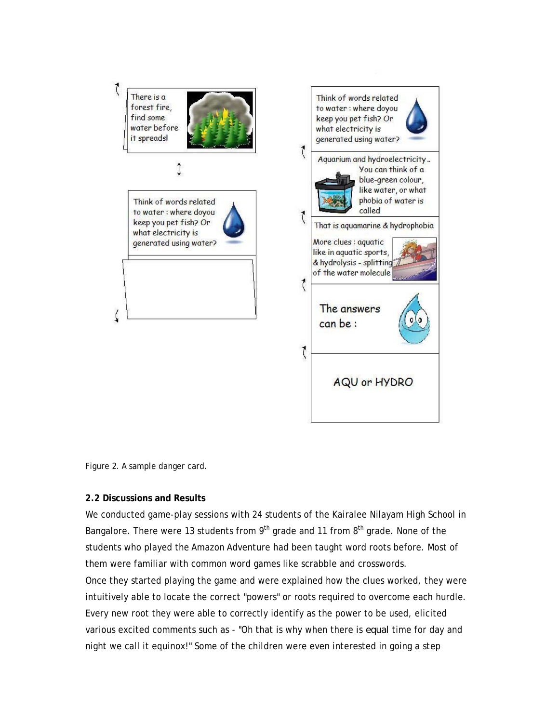

Figure 2. A sample danger card.

### **2.2 Discussions and Results**

We conducted game-play sessions with 24 students of the Kairalee Nilayam High School in Bangalore. There were 13 students from  $9<sup>th</sup>$  grade and 11 from  $8<sup>th</sup>$  grade. None of the students who played the Amazon Adventure had been taught word roots before. Most of them were familiar with common word games like scrabble and crosswords. Once they started playing the game and were explained how the clues worked, they were intuitively able to locate the correct "powers" or roots required to overcome each hurdle. Every new root they were able to correctly identify as the power to be used, elicited various excited comments such as - "Oh that is why when there is *equal* time for day and night we call it equinox!" Some of the children were even interested in going a step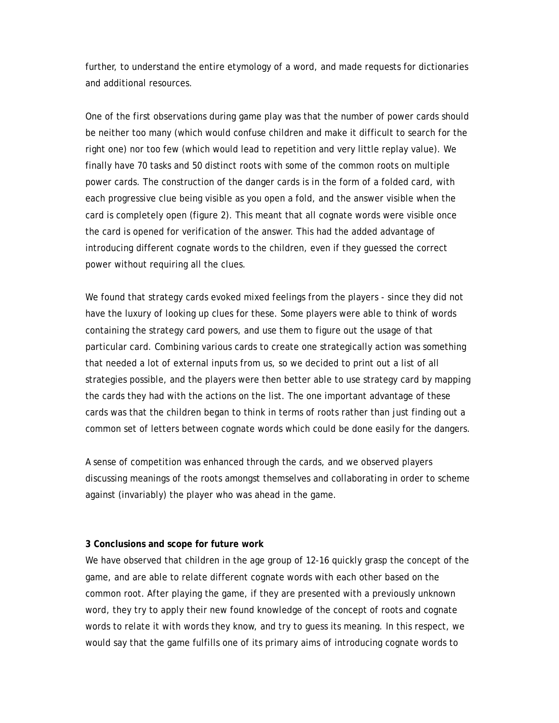further, to understand the entire etymology of a word, and made requests for dictionaries and additional resources.

One of the first observations during game play was that the number of power cards should be neither too many (which would confuse children and make it difficult to search for the right one) nor too few (which would lead to repetition and very little replay value). We finally have 70 tasks and 50 distinct roots with some of the common roots on multiple power cards. The construction of the danger cards is in the form of a folded card, with each progressive clue being visible as you open a fold, and the answer visible when the card is completely open (figure 2). This meant that all cognate words were visible once the card is opened for verification of the answer. This had the added advantage of introducing different cognate words to the children, even if they guessed the correct power without requiring all the clues.

We found that strategy cards evoked mixed feelings from the players - since they did not have the luxury of looking up clues for these. Some players were able to think of words containing the strategy card powers, and use them to figure out the usage of that particular card. Combining various cards to create one strategically action was something that needed a lot of external inputs from us, so we decided to print out a list of all strategies possible, and the players were then better able to use strategy card by mapping the cards they had with the actions on the list. The one important advantage of these cards was that the children began to think in terms of roots rather than just finding out a common set of letters between cognate words which could be done easily for the dangers.

A sense of competition was enhanced through the cards, and we observed players discussing meanings of the roots amongst themselves and collaborating in order to scheme against (invariably) the player who was ahead in the game.

### **3 Conclusions and scope for future work**

We have observed that children in the age group of 12-16 quickly grasp the concept of the game, and are able to relate different cognate words with each other based on the common root. After playing the game, if they are presented with a previously unknown word, they try to apply their new found knowledge of the concept of roots and cognate words to relate it with words they know, and try to guess its meaning. In this respect, we would say that the game fulfills one of its primary aims of introducing cognate words to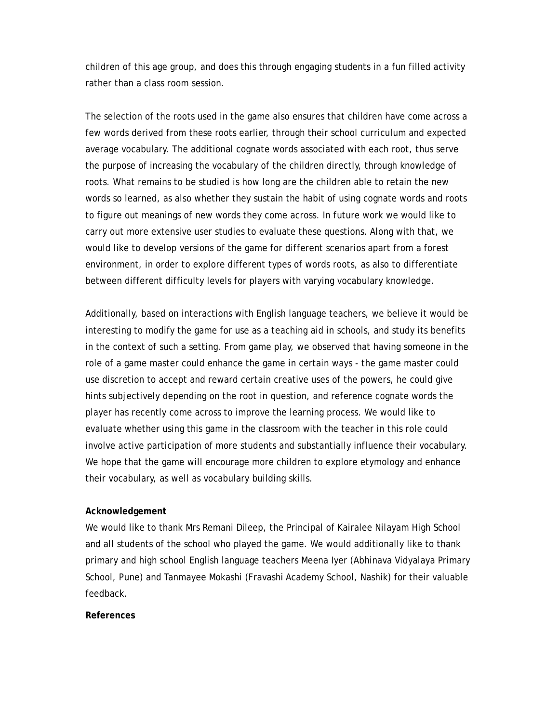children of this age group, and does this through engaging students in a fun filled activity rather than a class room session.

The selection of the roots used in the game also ensures that children have come across a few words derived from these roots earlier, through their school curriculum and expected average vocabulary. The additional cognate words associated with each root, thus serve the purpose of increasing the vocabulary of the children directly, through knowledge of roots. What remains to be studied is how long are the children able to retain the new words so learned, as also whether they sustain the habit of using cognate words and roots to figure out meanings of new words they come across. In future work we would like to carry out more extensive user studies to evaluate these questions. Along with that, we would like to develop versions of the game for different scenarios apart from a forest environment, in order to explore different types of words roots, as also to differentiate between different difficulty levels for players with varying vocabulary knowledge.

Additionally, based on interactions with English language teachers, we believe it would be interesting to modify the game for use as a teaching aid in schools, and study its benefits in the context of such a setting. From game play, we observed that having someone in the role of a game master could enhance the game in certain ways - the game master could use discretion to accept and reward certain creative uses of the powers, he could give hints subjectively depending on the root in question, and reference cognate words the player has recently come across to improve the learning process. We would like to evaluate whether using this game in the classroom with the teacher in this role could involve active participation of more students and substantially influence their vocabulary. We hope that the game will encourage more children to explore etymology and enhance their vocabulary, as well as vocabulary building skills.

### **Acknowledgement**

We would like to thank Mrs Remani Dileep, the Principal of Kairalee Nilayam High School and all students of the school who played the game. We would additionally like to thank primary and high school English language teachers Meena Iyer (Abhinava Vidyalaya Primary School, Pune) and Tanmayee Mokashi (Fravashi Academy School, Nashik) for their valuable feedback.

#### **References**